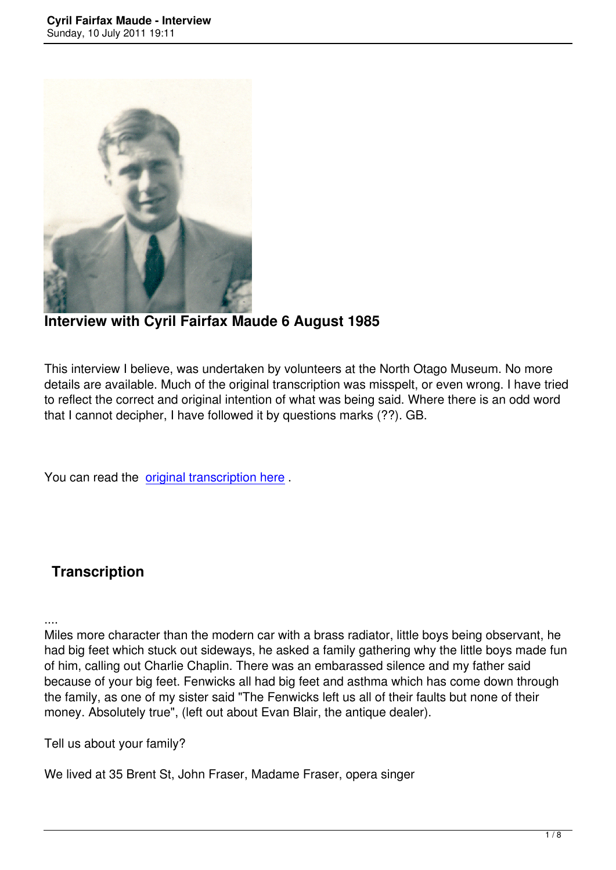

**Interview with Cyril Fairfax Maude 6 August 1985**

This interview I believe, was undertaken by volunteers at the North Otago Museum. No more details are available. Much of the original transcription was misspelt, or even wrong. I have tried to reflect the correct and original intention of what was being said. Where there is an odd word that I cannot decipher, I have followed it by questions marks (??). GB.

You can read the original transcription here.

# **Transcription**

....

Miles more character than the modern car with a brass radiator, little boys being observant, he had big feet which stuck out sideways, he asked a family gathering why the little boys made fun of him, calling out Charlie Chaplin. There was an embarassed silence and my father said because of your big feet. Fenwicks all had big feet and asthma which has come down through the family, as one of my sister said "The Fenwicks left us all of their faults but none of their money. Absolutely true", (left out about Evan Blair, the antique dealer).

Tell us about your family?

We lived at 35 Brent St, John Fraser, Madame Fraser, opera singer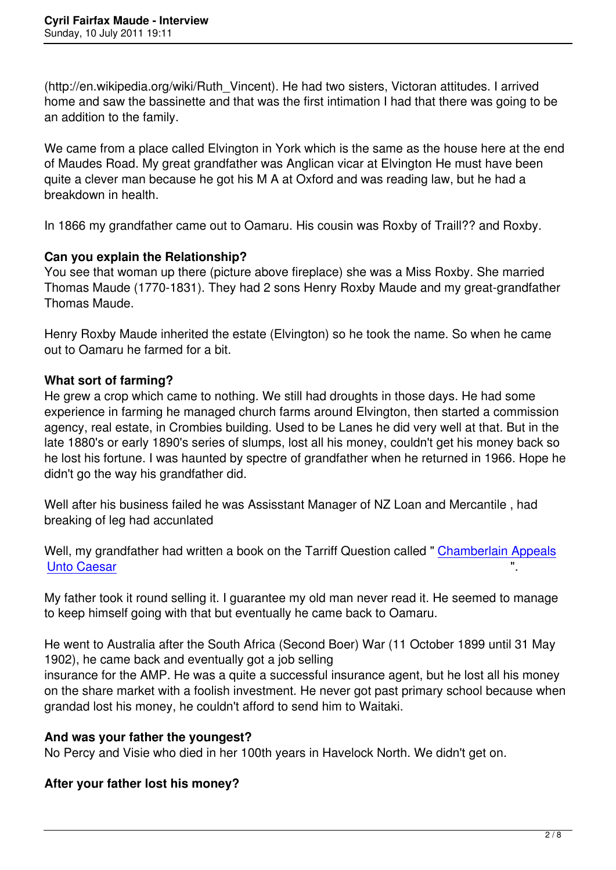(http://en.wikipedia.org/wiki/Ruth\_Vincent). He had two sisters, Victoran attitudes. I arrived home and saw the bassinette and that was the first intimation I had that there was going to be an addition to the family.

We came from a place called Elvington in York which is the same as the house here at the end of Maudes Road. My great grandfather was Anglican vicar at Elvington He must have been quite a clever man because he got his M A at Oxford and was reading law, but he had a breakdown in health.

In 1866 my grandfather came out to Oamaru. His cousin was Roxby of Traill?? and Roxby.

# **Can you explain the Relationship?**

You see that woman up there (picture above fireplace) she was a Miss Roxby. She married Thomas Maude (1770-1831). They had 2 sons Henry Roxby Maude and my great-grandfather Thomas Maude.

Henry Roxby Maude inherited the estate (Elvington) so he took the name. So when he came out to Oamaru he farmed for a bit.

# **What sort of farming?**

He grew a crop which came to nothing. We still had droughts in those days. He had some experience in farming he managed church farms around Elvington, then started a commission agency, real estate, in Crombies building. Used to be Lanes he did very well at that. But in the late 1880's or early 1890's series of slumps, lost all his money, couldn't get his money back so he lost his fortune. I was haunted by spectre of grandfather when he returned in 1966. Hope he didn't go the way his grandfather did.

Well after his business failed he was Assisstant Manager of NZ Loan and Mercantile , had breaking of leg had accunlated

Well, my grandfather had written a book on the Tarriff Question called " Chamberlain Appeals **Unto Caesar** 

My father took it round selling it. I guarantee my old man never read it. [He seemed to manage](http://catalogue.nla.gov.au/Record/2958280) [to keep himse](http://catalogue.nla.gov.au/Record/2958280)lf going with that but eventually he came back to Oamaru.

He went to Australia after the South Africa (Second Boer) War (11 October 1899 until 31 May 1902), he came back and eventually got a job selling

insurance for the AMP. He was a quite a successful insurance agent, but he lost all his money on the share market with a foolish investment. He never got past primary school because when grandad lost his money, he couldn't afford to send him to Waitaki.

# **And was your father the youngest?**

No Percy and Visie who died in her 100th years in Havelock North. We didn't get on.

# **After your father lost his money?**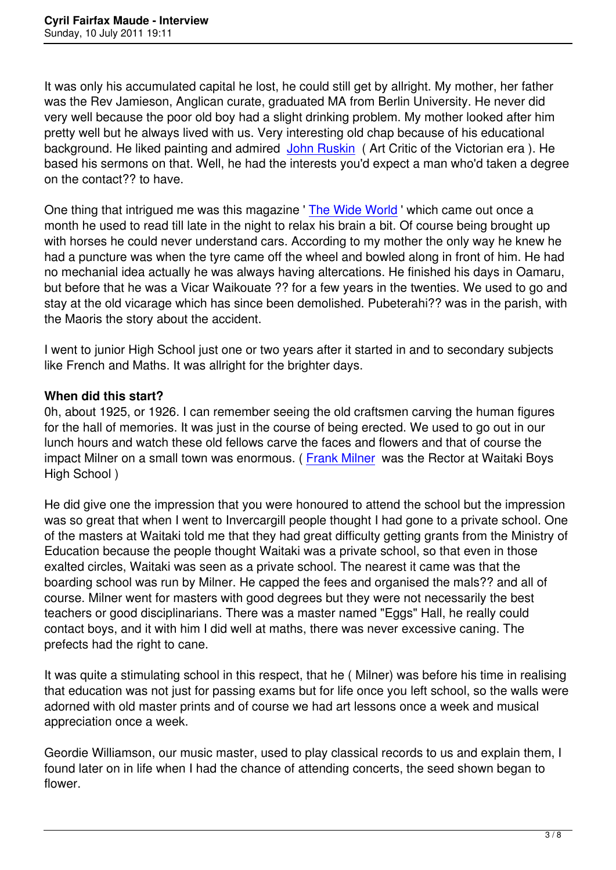It was only his accumulated capital he lost, he could still get by allright. My mother, her father was the Rev Jamieson, Anglican curate, graduated MA from Berlin University. He never did very well because the poor old boy had a slight drinking problem. My mother looked after him pretty well but he always lived with us. Very interesting old chap because of his educational background. He liked painting and admired John Ruskin (Art Critic of the Victorian era). He based his sermons on that. Well, he had the interests you'd expect a man who'd taken a degree on the contact?? to have.

One thing that intrigued me was this magazine ' [The Wid](ttp://en.wikipedia.org/wiki/John_Ruskin)e World ' which came out once a month he used to read till late in the night to relax his brain a bit. Of course being brought up with horses he could never understand cars. According to my mother the only way he knew he had a puncture was when the tyre came off the [wheel and bowle](http://www.collectingbooksandmagazines.com/wide.html)d along in front of him. He had no mechanial idea actually he was always having altercations. He finished his days in Oamaru, but before that he was a Vicar Waikouate ?? for a few years in the twenties. We used to go and stay at the old vicarage which has since been demolished. Pubeterahi?? was in the parish, with the Maoris the story about the accident.

I went to junior High School just one or two years after it started in and to secondary subjects like French and Maths. It was allright for the brighter days.

#### **When did this start?**

0h, about 1925, or 1926. I can remember seeing the old craftsmen carving the human figures for the hall of memories. It was just in the course of being erected. We used to go out in our lunch hours and watch these old fellows carve the faces and flowers and that of course the impact Milner on a small town was enormous. (Frank Milner was the Rector at Waitaki Boys High School )

He did give one the impression that you were h[onoured to at](http://www.teara.govt.nz/en/biographies/3m55/1)tend the school but the impression was so great that when I went to Invercargill people thought I had gone to a private school. One of the masters at Waitaki told me that they had great difficulty getting grants from the Ministry of Education because the people thought Waitaki was a private school, so that even in those exalted circles, Waitaki was seen as a private school. The nearest it came was that the boarding school was run by Milner. He capped the fees and organised the mals?? and all of course. Milner went for masters with good degrees but they were not necessarily the best teachers or good disciplinarians. There was a master named "Eggs" Hall, he really could contact boys, and it with him I did well at maths, there was never excessive caning. The prefects had the right to cane.

It was quite a stimulating school in this respect, that he ( Milner) was before his time in realising that education was not just for passing exams but for life once you left school, so the walls were adorned with old master prints and of course we had art lessons once a week and musical appreciation once a week.

Geordie Williamson, our music master, used to play classical records to us and explain them, I found later on in life when I had the chance of attending concerts, the seed shown began to flower.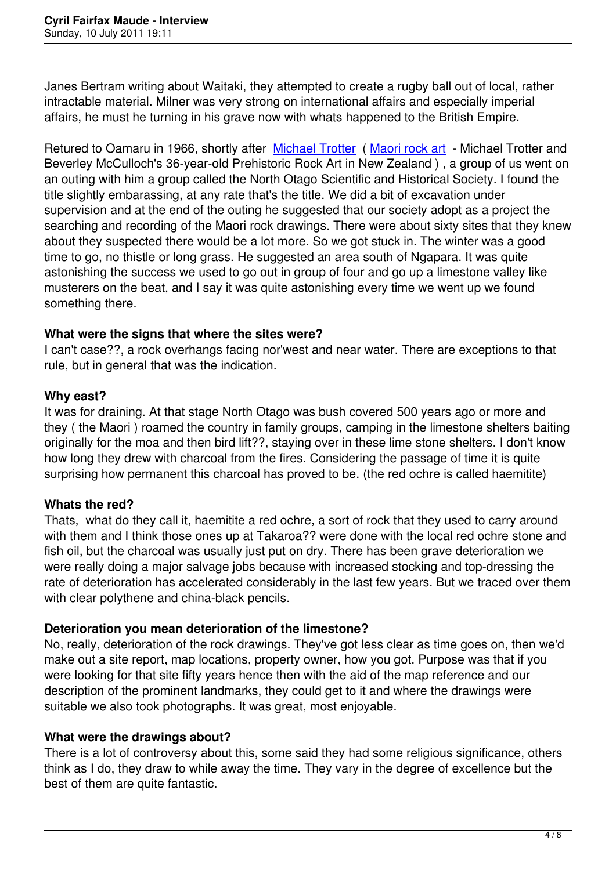Janes Bertram writing about Waitaki, they attempted to create a rugby ball out of local, rather intractable material. Milner was very strong on international affairs and especially imperial affairs, he must he turning in his grave now with whats happened to the British Empire.

Retured to Oamaru in 1966, shortly after Michael Trotter (Maori rock art - Michael Trotter and Beverley McCulloch's 36-year-old Prehistoric Rock Art in New Zealand ) , a group of us went on an outing with him a group called the North Otago Scientific and Historical Society. I found the title slightly embarassing, at any rate that'[s the title. We d](http://www.odt.co.nz/your-town/timaru/10355/north-otago-maori-rock-art-a-rich-seam-history)id [a bit of excava](http://www.biblio.com/details.php?dcx=292644507&aid=frg&utm_source=google&utm_medium=product&utm_campaign=feed-details)tion under supervision and at the end of the outing he suggested that our society adopt as a project the searching and recording of the Maori rock drawings. There were about sixty sites that they knew about they suspected there would be a lot more. So we got stuck in. The winter was a good time to go, no thistle or long grass. He suggested an area south of Ngapara. It was quite astonishing the success we used to go out in group of four and go up a limestone valley like musterers on the beat, and I say it was quite astonishing every time we went up we found something there.

## **What were the signs that where the sites were?**

I can't case??, a rock overhangs facing nor'west and near water. There are exceptions to that rule, but in general that was the indication.

## **Why east?**

It was for draining. At that stage North Otago was bush covered 500 years ago or more and they ( the Maori ) roamed the country in family groups, camping in the limestone shelters baiting originally for the moa and then bird lift??, staying over in these lime stone shelters. I don't know how long they drew with charcoal from the fires. Considering the passage of time it is quite surprising how permanent this charcoal has proved to be. (the red ochre is called haemitite)

# **Whats the red?**

Thats, what do they call it, haemitite a red ochre, a sort of rock that they used to carry around with them and I think those ones up at Takaroa?? were done with the local red ochre stone and fish oil, but the charcoal was usually just put on dry. There has been grave deterioration we were really doing a major salvage jobs because with increased stocking and top-dressing the rate of deterioration has accelerated considerably in the last few years. But we traced over them with clear polythene and china-black pencils.

# **Deterioration you mean deterioration of the limestone?**

No, really, deterioration of the rock drawings. They've got less clear as time goes on, then we'd make out a site report, map locations, property owner, how you got. Purpose was that if you were looking for that site fifty years hence then with the aid of the map reference and our description of the prominent landmarks, they could get to it and where the drawings were suitable we also took photographs. It was great, most enjoyable.

# **What were the drawings about?**

There is a lot of controversy about this, some said they had some religious significance, others think as I do, they draw to while away the time. They vary in the degree of excellence but the best of them are quite fantastic.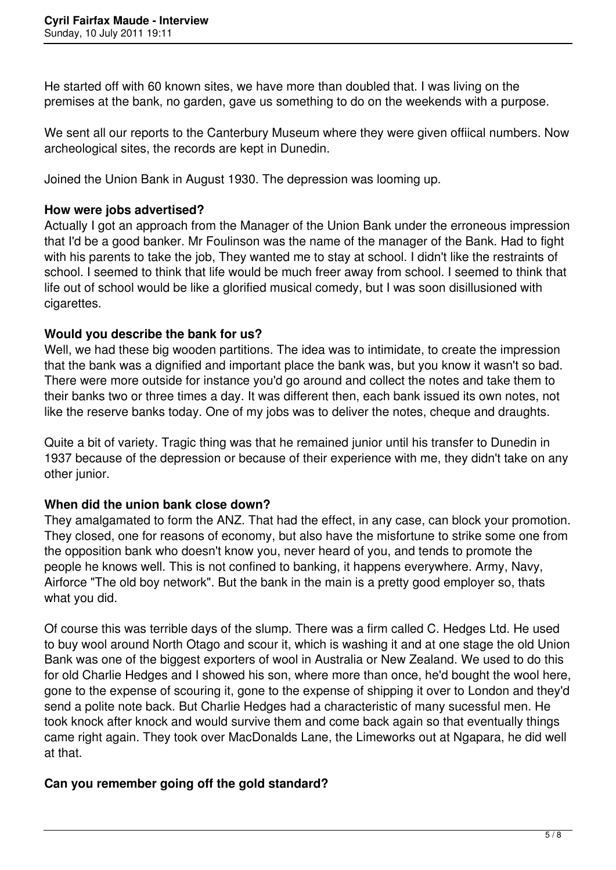He started off with 60 known sites, we have more than doubled that. I was living on the premises at the bank, no garden, gave us something to do on the weekends with a purpose.

We sent all our reports to the Canterbury Museum where they were given offiical numbers. Now archeological sites, the records are kept in Dunedin.

Joined the Union Bank in August 1930. The depression was looming up.

#### **How were jobs advertised?**

Actually I got an approach from the Manager of the Union Bank under the erroneous impression that I'd be a good banker. Mr Foulinson was the name of the manager of the Bank. Had to fight with his parents to take the job. They wanted me to stay at school. I didn't like the restraints of school. I seemed to think that life would be much freer away from school. I seemed to think that life out of school would be like a glorified musical comedy, but I was soon disillusioned with cigarettes.

#### **Would you describe the bank for us?**

Well, we had these big wooden partitions. The idea was to intimidate, to create the impression that the bank was a dignified and important place the bank was, but you know it wasn't so bad. There were more outside for instance you'd go around and collect the notes and take them to their banks two or three times a day. It was different then, each bank issued its own notes, not like the reserve banks today. One of my jobs was to deliver the notes, cheque and draughts.

Quite a bit of variety. Tragic thing was that he remained junior until his transfer to Dunedin in 1937 because of the depression or because of their experience with me, they didn't take on any other junior.

#### **When did the union bank close down?**

They amalgamated to form the ANZ. That had the effect, in any case, can block your promotion. They closed, one for reasons of economy, but also have the misfortune to strike some one from the opposition bank who doesn't know you, never heard of you, and tends to promote the people he knows well. This is not confined to banking, it happens everywhere. Army, Navy, Airforce "The old boy network". But the bank in the main is a pretty good employer so, thats what you did.

Of course this was terrible days of the slump. There was a firm called C. Hedges Ltd. He used to buy wool around North Otago and scour it, which is washing it and at one stage the old Union Bank was one of the biggest exporters of wool in Australia or New Zealand. We used to do this for old Charlie Hedges and I showed his son, where more than once, he'd bought the wool here, gone to the expense of scouring it, gone to the expense of shipping it over to London and they'd send a polite note back. But Charlie Hedges had a characteristic of many sucessful men. He took knock after knock and would survive them and come back again so that eventually things came right again. They took over MacDonalds Lane, the Limeworks out at Ngapara, he did well at that.

#### **Can you remember going off the gold standard?**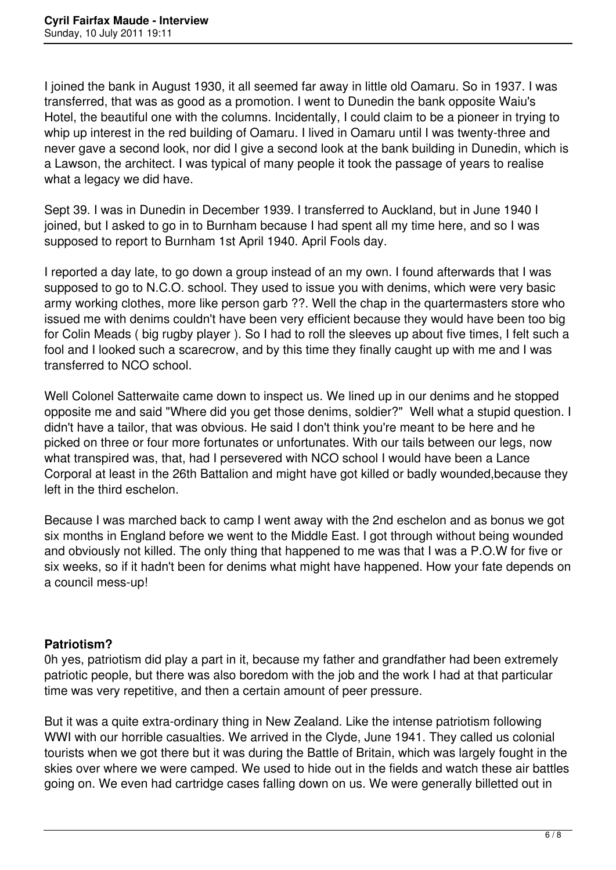I joined the bank in August 1930, it all seemed far away in little old Oamaru. So in 1937. I was transferred, that was as good as a promotion. I went to Dunedin the bank opposite Waiu's Hotel, the beautiful one with the columns. Incidentally, I could claim to be a pioneer in trying to whip up interest in the red building of Oamaru. I lived in Oamaru until I was twenty-three and never gave a second look, nor did I give a second look at the bank building in Dunedin, which is a Lawson, the architect. I was typical of many people it took the passage of years to realise what a legacy we did have.

Sept 39. I was in Dunedin in December 1939. I transferred to Auckland, but in June 1940 I joined, but I asked to go in to Burnham because I had spent all my time here, and so I was supposed to report to Burnham 1st April 1940. April Fools day.

I reported a day late, to go down a group instead of an my own. I found afterwards that I was supposed to go to N.C.O. school. They used to issue you with denims, which were very basic army working clothes, more like person garb ??. Well the chap in the quartermasters store who issued me with denims couldn't have been very efficient because they would have been too big for Colin Meads ( big rugby player ). So I had to roll the sleeves up about five times, I felt such a fool and I looked such a scarecrow, and by this time they finally caught up with me and I was transferred to NCO school.

Well Colonel Satterwaite came down to inspect us. We lined up in our denims and he stopped opposite me and said "Where did you get those denims, soldier?" Well what a stupid question. I didn't have a tailor, that was obvious. He said I don't think you're meant to be here and he picked on three or four more fortunates or unfortunates. With our tails between our legs, now what transpired was, that, had I persevered with NCO school I would have been a Lance Corporal at least in the 26th Battalion and might have got killed or badly wounded,because they left in the third eschelon.

Because I was marched back to camp I went away with the 2nd eschelon and as bonus we got six months in England before we went to the Middle East. I got through without being wounded and obviously not killed. The only thing that happened to me was that I was a P.O.W for five or six weeks, so if it hadn't been for denims what might have happened. How your fate depends on a council mess-up!

#### **Patriotism?**

0h yes, patriotism did play a part in it, because my father and grandfather had been extremely patriotic people, but there was also boredom with the job and the work I had at that particular time was very repetitive, and then a certain amount of peer pressure.

But it was a quite extra-ordinary thing in New Zealand. Like the intense patriotism following WWI with our horrible casualties. We arrived in the Clyde, June 1941. They called us colonial tourists when we got there but it was during the Battle of Britain, which was largely fought in the skies over where we were camped. We used to hide out in the fields and watch these air battles going on. We even had cartridge cases falling down on us. We were generally billetted out in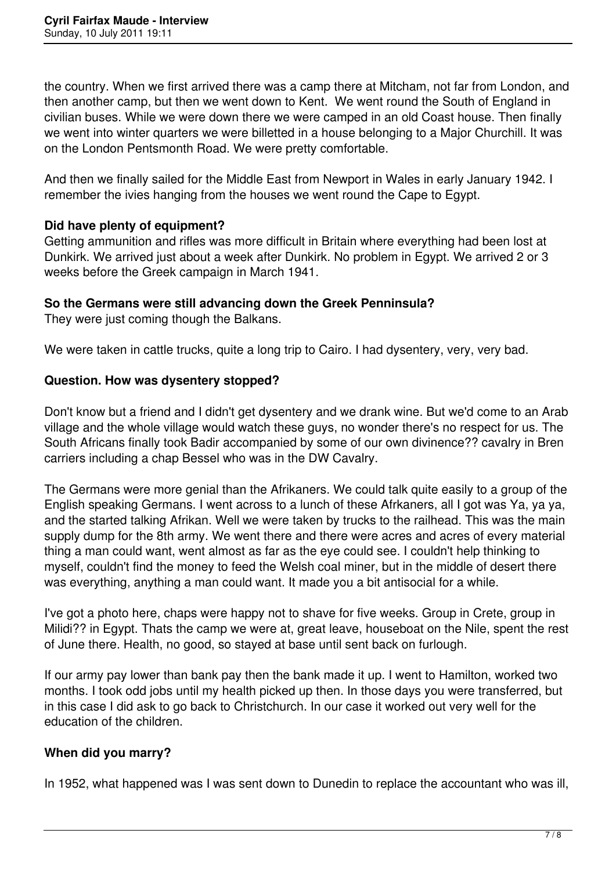the country. When we first arrived there was a camp there at Mitcham, not far from London, and then another camp, but then we went down to Kent. We went round the South of England in civilian buses. While we were down there we were camped in an old Coast house. Then finally we went into winter quarters we were billetted in a house belonging to a Major Churchill. It was on the London Pentsmonth Road. We were pretty comfortable.

And then we finally sailed for the Middle East from Newport in Wales in early January 1942. I remember the ivies hanging from the houses we went round the Cape to Egypt.

## **Did have plenty of equipment?**

Getting ammunition and rifles was more difficult in Britain where everything had been lost at Dunkirk. We arrived just about a week after Dunkirk. No problem in Egypt. We arrived 2 or 3 weeks before the Greek campaign in March 1941.

## **So the Germans were still advancing down the Greek Penninsula?**

They were just coming though the Balkans.

We were taken in cattle trucks, quite a long trip to Cairo. I had dysentery, very, very bad.

## **Question. How was dysentery stopped?**

Don't know but a friend and I didn't get dysentery and we drank wine. But we'd come to an Arab village and the whole village would watch these guys, no wonder there's no respect for us. The South Africans finally took Badir accompanied by some of our own divinence?? cavalry in Bren carriers including a chap Bessel who was in the DW Cavalry.

The Germans were more genial than the Afrikaners. We could talk quite easily to a group of the English speaking Germans. I went across to a lunch of these Afrkaners, all I got was Ya, ya ya, and the started talking Afrikan. Well we were taken by trucks to the railhead. This was the main supply dump for the 8th army. We went there and there were acres and acres of every material thing a man could want, went almost as far as the eye could see. I couldn't help thinking to myself, couldn't find the money to feed the Welsh coal miner, but in the middle of desert there was everything, anything a man could want. It made you a bit antisocial for a while.

I've got a photo here, chaps were happy not to shave for five weeks. Group in Crete, group in Milidi?? in Egypt. Thats the camp we were at, great leave, houseboat on the Nile, spent the rest of June there. Health, no good, so stayed at base until sent back on furlough.

If our army pay lower than bank pay then the bank made it up. I went to Hamilton, worked two months. I took odd jobs until my health picked up then. In those days you were transferred, but in this case I did ask to go back to Christchurch. In our case it worked out very well for the education of the children.

# **When did you marry?**

In 1952, what happened was I was sent down to Dunedin to replace the accountant who was ill,